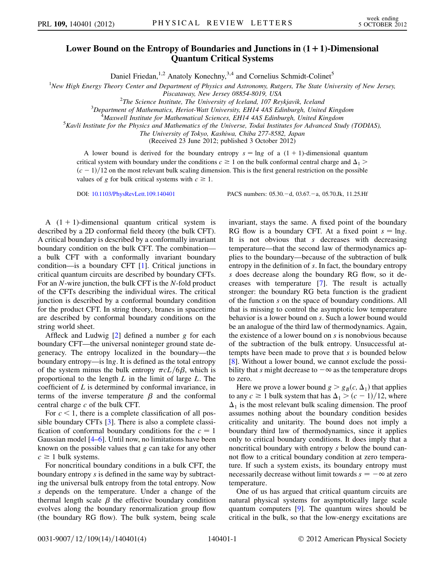## Lower Bound on the Entropy of Boundaries and Junctions in  $(1 + 1)$ -Dimensional Quantum Critical Systems

Daniel Friedan,<sup>1,2</sup> Anatoly Konechny,<sup>3,4</sup> and Cornelius Schmidt-Colinet<sup>5</sup>

<sup>1</sup>New High Energy Theory Center and Department of Physics and Astronomy, Rutgers, The State University of New Jersey,

Piscataway, New Jersey 08854-8019, USA<br><sup>2</sup>The Science Institute, The University of Leeland, 107 Per

<sup>2</sup>The Science Institute, The University of Iceland, 107 Reykjavik, Iceland<sup>3</sup><br><sup>3</sup> Department of Mathematics, Heriot Watt University, EH14 AAS Edinburgh, United

 $3$ Department of Mathematics, Heriot-Watt University, EH14 4AS Edinburgh, United Kingdom

 $^{4}$ Maxwell Institute for Mathematical Sciences, EH14 4AS Edinburgh, United Kingdom

 $K$ <sup>5</sup>Kavli Institute for the Physics and Mathematics of the Universe, Todai Institutes for Advanced Study (TODIAS),

The University of Tokyo, Kashiwa, Chiba 277-8582, Japan (Received 23 June 2012; published 3 October 2012)

A lower bound is derived for the boundary entropy  $s = \ln g$  of a  $(1 + 1)$ -dimensional quantum critical system with boundary under the conditions  $c \ge 1$  on the bulk conformal central charge and  $\Delta_1$  $(c - 1)/12$  on the most relevant bulk scaling dimension. This is the first general restriction on the possible values of g for bulk critical systems with  $c \ge 1$ .

DOI: [10.1103/PhysRevLett.109.140401](http://dx.doi.org/10.1103/PhysRevLett.109.140401)

d, 03.67.-a, 05.70.Jk, 11.25.Hf

A  $(1 + 1)$ -dimensional quantum critical system is described by a 2D conformal field theory (the bulk CFT). A critical boundary is described by a conformally invariant boundary condition on the bulk CFT. The combination a bulk CFT with a conformally invariant boundary condition—is a boundary CFT [[1](#page-3-0)]. Critical junctions in critical quantum circuits are described by boundary CFTs. For an N-wire junction, the bulk CFT is the N-fold product of the CFTs describing the individual wires. The critical junction is described by a conformal boundary condition for the product CFT. In string theory, branes in spacetime are described by conformal boundary conditions on the string world sheet.

Affleck and Ludwig  $[2]$  $[2]$  $[2]$  defined a number g for each boundary CFT—the universal noninteger ground state degeneracy. The entropy localized in the boundary—the boundary entropy—is lng. It is defined as the total entropy of the system minus the bulk entropy  $\pi cL/6\beta$ , which is proportional to the length  $L$  in the limit of large  $L$ . The coefficient of L is determined by conformal invariance, in terms of the inverse temperature  $\beta$  and the conformal central charge c of the bulk CFT.

For  $c < 1$ , there is a complete classification of all possible boundary CFTs [[3](#page-3-2)]. There is also a complete classification of conformal boundary conditions for the  $c = 1$ Gaussian model [[4](#page-3-3)[–6](#page-3-4)]. Until now, no limitations have been known on the possible values that g can take for any other  $c \geq 1$  bulk systems.

For noncritical boundary conditions in a bulk CFT, the boundary entropy s is defined in the same way by subtracting the universal bulk entropy from the total entropy. Now s depends on the temperature. Under a change of the thermal length scale  $\beta$  the effective boundary condition evolves along the boundary renormalization group flow (the boundary RG flow). The bulk system, being scale invariant, stays the same. A fixed point of the boundary RG flow is a boundary CFT. At a fixed point  $s = \ln g$ . It is not obvious that  $s$  decreases with decreasing temperature—that the second law of thermodynamics applies to the boundary—because of the subtraction of bulk entropy in the definition of s. In fact, the boundary entropy s does decrease along the boundary RG flow, so it decreases with temperature [\[7\]](#page-3-5). The result is actually stronger: the boundary RG beta function is the gradient of the function s on the space of boundary conditions. All that is missing to control the asymptotic low temperature behavior is a lower bound on s. Such a lower bound would be an analogue of the third law of thermodynamics. Again, the existence of a lower bound on s is nonobvious because of the subtraction of the bulk entropy. Unsuccessful attempts have been made to prove that s is bounded below [\[8\]](#page-3-6). Without a lower bound, we cannot exclude the possibility that s might decrease to  $-\infty$  as the temperature drops to zero.

Here we prove a lower bound  $g > g_B(c, \Delta_1)$  that applies to any  $c \ge 1$  bulk system that has  $\Delta_1 > (c-1)/12$ , where  $\Delta_1$  is the most relevant bulk scaling dimension. The proof assumes nothing about the boundary condition besides criticality and unitarity. The bound does not imply a boundary third law of thermodynamics, since it applies only to critical boundary conditions. It does imply that a noncritical boundary with entropy s below the bound cannot flow to a critical boundary condition at zero temperature. If such a system exists, its boundary entropy must necessarily decrease without limit towards  $s = -\infty$  at zero temperature.

One of us has argued that critical quantum circuits are natural physical systems for asymptotically large scale quantum computers [\[9](#page-3-7)]. The quantum wires should be critical in the bulk, so that the low-energy excitations are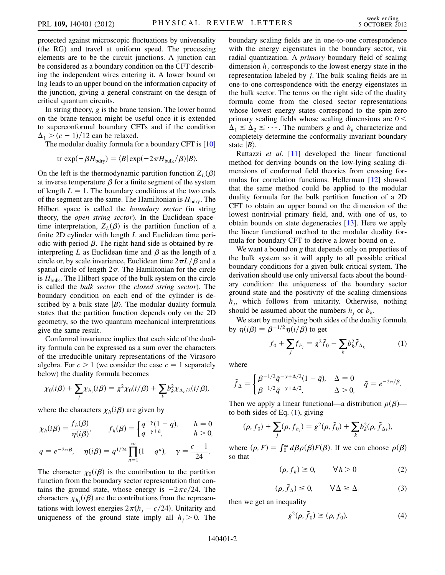protected against microscopic fluctuations by universality (the RG) and travel at uniform speed. The processing elements are to be the circuit junctions. A junction can be considered as a boundary condition on the CFT describing the independent wires entering it. A lower bound on lng leads to an upper bound on the information capacity of the junction, giving a general constraint on the design of critical quantum circuits.

In string theory,  $g$  is the brane tension. The lower bound on the brane tension might be useful once it is extended to superconformal boundary CFTs and if the condition  $\Delta_1 > (c - 1)/12$  can be relaxed.

The modular duality formula for a boundary CFT is [\[10\]](#page-3-8)

$$
\text{tr} \exp(-\beta H_{\text{bdry}}) = \langle B | \exp(-2\pi H_{\text{bulk}}/\beta) | B \rangle.
$$

On the left is the thermodynamic partition function  $Z_L(\beta)$ at inverse temperature  $\beta$  for a finite segment of the system of length  $L = 1$ . The boundary conditions at the two ends of the segment are the same. The Hamiltonian is  $H_{\text{bdry}}$ . The Hilbert space is called the *boundary sector* (in string theory, the open string sector). In the Euclidean spacetime interpretation,  $Z_L(\beta)$  is the partition function of a finite 2D cylinder with length  $L$  and Euclidean time periodic with period  $\beta$ . The right-hand side is obtained by reinterpreting L as Euclidean time and  $\beta$  as the length of a circle or, by scale invariance, Euclidean time  $2\pi L/\beta$  and a spatial circle of length  $2\pi$ . The Hamiltonian for the circle is  $H_{\text{bulk}}$ . The Hilbert space of the bulk system on the circle is called the bulk sector (the closed string sector). The boundary condition on each end of the cylinder is described by a bulk state  $|B\rangle$ . The modular duality formula states that the partition function depends only on the 2D geometry, so the two quantum mechanical interpretations give the same result.

Conformal invariance implies that each side of the duality formula can be expressed as a sum over the characters of the irreducible unitary representations of the Virasoro algebra. For  $c > 1$  (we consider the case  $c = 1$  separately below) the duality formula becomes

$$
\chi_0(i\beta) + \sum_j \chi_{h_j}(i\beta) = g^2 \chi_0(i/\beta) + \sum_k b_k^2 \chi_{\Delta_k/2}(i/\beta),
$$

where the characters  $\chi_h(i\beta)$  are given by

$$
\chi_h(i\beta) = \frac{f_h(\beta)}{\eta(i\beta)}, \qquad f_h(\beta) = \begin{cases} q^{-\gamma}(1-q), & h = 0\\ q^{-\gamma+h}, & h > 0, \end{cases}
$$
  

$$
q = e^{-2\pi\beta}, \quad \eta(i\beta) = q^{1/24} \prod_{n=1}^{\infty} (1-q^n), \quad \gamma = \frac{c-1}{24}.
$$

The character  $\chi_0(i\beta)$  is the contribution to the partition function from the boundary sector representation that contains the ground state, whose energy is  $-2\pi c/24$ . The characters  $\chi_{h_j}(i\beta)$  are the contributions from the representations with lowest energies  $2\pi(h_j - c/24)$ . Unitarity and uniqueness of the ground state imply all  $h_i > 0$ . The boundary scaling fields are in one-to-one correspondence with the energy eigenstates in the boundary sector, via radial quantization. A primary boundary field of scaling dimension  $h_i$  corresponds to the lowest energy state in the representation labeled by j. The bulk scaling fields are in one-to-one correspondence with the energy eigenstates in the bulk sector. The terms on the right side of the duality formula come from the closed sector representations whose lowest energy states correspond to the spin-zero primary scaling fields whose scaling dimensions are  $0 <$  $\Delta_1 \leq \Delta_2 \leq \cdots$ . The numbers g and  $b_k$  characterize and completely determine the conformally invariant boundary state  $|B\rangle$ .

Rattazzi et al. [[11](#page-3-9)] developed the linear functional method for deriving bounds on the low-lying scaling dimensions of conformal field theories from crossing formulas for correlation functions. Hellerman [[12](#page-3-10)] showed that the same method could be applied to the modular duality formula for the bulk partition function of a 2D CFT to obtain an upper bound on the dimension of the lowest nontrivial primary field, and, with one of us, to obtain bounds on state degeneracies [[13](#page-3-11)]. Here we apply the linear functional method to the modular duality formula for boundary CFT to derive a lower bound on g.

We want a bound on g that depends only on properties of the bulk system so it will apply to all possible critical boundary conditions for a given bulk critical system. The derivation should use only universal facts about the boundary condition: the uniqueness of the boundary sector ground state and the positivity of the scaling dimensions  $h_i$ , which follows from unitarity. Otherwise, nothing should be assumed about the numbers  $h_i$  or  $b_k$ .

<span id="page-1-0"></span>We start by multiplying both sides of the duality formula by  $\eta(i\beta) = \beta^{-1/2} \eta(i/\beta)$  to get

$$
f_0 + \sum_j f_{h_j} = g^2 \tilde{f}_0 + \sum_k b_k^2 \tilde{f}_{\Delta_k} \tag{1}
$$

where

$$
\tilde{f}_{\Delta} = \begin{cases} \beta^{-1/2} \tilde{q}^{-\gamma + \Delta/2} (1 - \tilde{q}), & \Delta = 0 \\ \beta^{-1/2} \tilde{q}^{-\gamma + \Delta/2}, & \Delta > 0, \end{cases} \quad \tilde{q} = e^{-2\pi/\beta}.
$$

Then we apply a linear functional—a distribution  $\rho(\beta)$  to both sides of Eq.  $(1)$  $(1)$ , giving

$$
(\rho, f_0) + \sum_j (\rho, f_{h_j}) = g^2(\rho, \tilde{f}_0) + \sum_k b_k^2(\rho, \tilde{f}_{\Delta_k}),
$$

<span id="page-1-2"></span>where  $(\rho, F) = \int_0^\infty d\beta \rho(\beta) F(\beta)$ . If we can choose  $\rho(\beta)$ so that

$$
(\rho, f_h) \ge 0, \qquad \forall h > 0 \tag{2}
$$

$$
(\rho, \tilde{f}_{\Delta}) \le 0, \qquad \forall \Delta \ge \Delta_1 \tag{3}
$$

<span id="page-1-1"></span>then we get an inequality

$$
g^2(\rho, \tilde{f}_0) \ge (\rho, f_0). \tag{4}
$$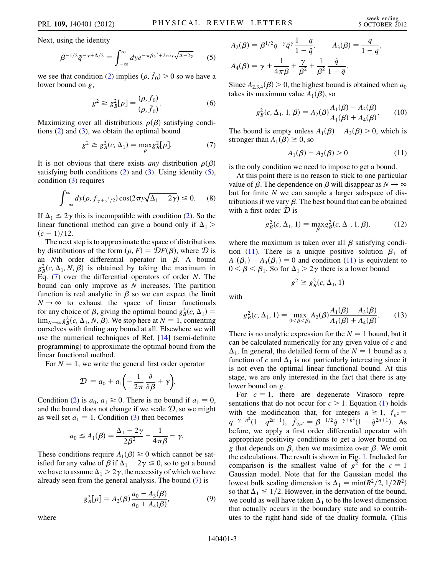<span id="page-2-0"></span>Next, using the identity

$$
\beta^{-1/2}\tilde{q}^{-\gamma+\Delta/2} = \int_{-\infty}^{\infty} dy e^{-\pi\beta y^2 + 2\pi i y \sqrt{\Delta - 2\gamma}} \qquad (5)
$$

we see that condition [\(2](#page-1-1)) implies  $(\rho, \tilde{f}_0) > 0$  so we have a lower bound on *g*,

$$
g^{2} \ge g_{B}^{2}[\rho] = \frac{(\rho, f_{0})}{(\rho, \tilde{f}_{0})}.
$$
 (6)

<span id="page-2-1"></span>Maximizing over all distributions  $\rho(\beta)$  satisfying conditions  $(2)$  $(2)$  $(2)$  and  $(3)$  $(3)$ , we obtain the optimal bound

$$
g^2 \ge g_B^2(c, \Delta_1) = \max_{\rho} g_B^2[\rho]. \tag{7}
$$

<span id="page-2-3"></span>It is not obvious that there exists *any* distribution  $\rho(\beta)$ satisfying both conditions  $(2)$  $(2)$  $(2)$  and  $(3)$ . Using identity  $(5)$  $(5)$ , condition [\(3](#page-1-2)) requires

$$
\int_{-\infty}^{\infty} dy(\rho, f_{\gamma + y^2/2}) \cos(2\pi y \sqrt{\Delta_1 - 2\gamma}) \le 0. \tag{8}
$$

If  $\Delta_1 \leq 2\gamma$  this is incompatible with condition [\(2](#page-1-1)). So the linear functional method can give a bound only if  $\Delta_1$  >  $(c-1)/12$ .

The next step is to approximate the space of distributions by distributions of the form  $(\rho, F) = \mathcal{D}F(\beta)$ , where  $\mathcal D$  is an Nth order differential operator in  $\beta$ . A bound  $g_B^2(c, \Delta_1, N, \beta)$  is obtained by taking the maximum in Eq.  $(7)$  $(7)$  over the differential operators of order N. The bound can only improve as  $N$  increases. The partition function is real analytic in  $\beta$  so we can expect the limit  $N \rightarrow \infty$  to exhaust the space of linear functionals for any choice of  $\beta$ , giving the optimal bound  $g_B^2(c, \Delta_1) =$  $\lim_{N\to\infty} g_B^2(c, \Delta_1, N, \beta)$ . We stop here at  $N = 1$ , contenting ourselves with finding any bound at all. Elsewhere we will use the numerical techniques of Ref. [[14](#page-3-12)] (semi-definite programming) to approximate the optimal bound from the linear functional method.

For  $N = 1$ , we write the general first order operator

$$
\mathcal{D} = a_0 + a_1 \left( -\frac{1}{2\pi} \frac{\partial}{\partial \beta} + \gamma \right).
$$

Condition ([2\)](#page-1-1) is  $a_0$ ,  $a_1 \ge 0$ . There is no bound if  $a_1 = 0$ , and the bound does not change if we scale  $D$ , so we might as well set  $a_1 = 1$ . Condition [\(3](#page-1-2)) then becomes

$$
a_0 \le A_1(\beta) = \frac{\Delta_1 - 2\gamma}{2\beta^2} - \frac{1}{4\pi\beta} - \gamma.
$$

These conditions require  $A_1(\beta) \ge 0$  which cannot be satisfied for any value of  $\beta$  if  $\Delta_1 - 2\gamma \le 0$ , so to get a bound we have to assume  $\Delta_1 > 2\gamma$ , the necessity of which we have already seen from the general analysis. The bound ([7\)](#page-2-1) is

$$
g_B^2[\rho] = A_2(\beta) \frac{a_0 - A_3(\beta)}{a_0 + A_4(\beta)},
$$
\n(9)

where

$$
A_2(\beta) = \beta^{1/2} q^{-\gamma} \tilde{q}^{\gamma} \frac{1-q}{1-\tilde{q}}, \qquad A_3(\beta) = \frac{q}{1-q},
$$
  

$$
A_4(\beta) = \gamma + \frac{1}{4\pi\beta} + \frac{\gamma}{\beta^2} + \frac{1}{\beta^2} \frac{\tilde{q}}{1-\tilde{q}}.
$$

Since  $A_{2,3,4}(\beta) > 0$ , the highest bound is obtained when  $a_0$ takes its maximum value  $A_1(\beta)$ , so

$$
g_B^2(c, \Delta_1, 1, \beta) = A_2(\beta) \frac{A_1(\beta) - A_3(\beta)}{A_1(\beta) + A_4(\beta)}.
$$
 (10)

<span id="page-2-2"></span>The bound is empty unless  $A_1(\beta) - A_3(\beta) > 0$ , which is stronger than  $A_1(\beta) \ge 0$ , so

$$
A_1(\beta) - A_3(\beta) > 0 \tag{11}
$$

is the only condition we need to impose to get a bound.

At this point there is no reason to stick to one particular value of  $\beta$ . The dependence on  $\beta$  will disappear as  $N \to \infty$ but for finite  $N$  we can sample a larger subspace of distributions if we vary  $\beta$ . The best bound that can be obtained with a first-order  $\mathcal D$  is

$$
g_B^2(c, \Delta_1, 1) = \max_{\beta} g_B^2(c, \Delta_1, 1, \beta), \tag{12}
$$

where the maximum is taken over all  $\beta$  satisfying condi-tion [\(11\)](#page-2-2). There is a unique positive solution  $\beta_1$  of  $A_1(\beta_1) - A_3(\beta_1) = 0$  and condition [\(11\)](#page-2-2) is equivalent to  $0 < \beta < \beta_1$ . So for  $\Delta_1 > 2\gamma$  there is a lower bound

$$
g^2 \ge g_B^2(c, \Delta_1, 1)
$$

with

$$
g_B^2(c, \Delta_1, 1) = \max_{0 \le \beta \le \beta_1} A_2(\beta) \frac{A_1(\beta) - A_3(\beta)}{A_1(\beta) + A_4(\beta)}.
$$
 (13)

There is no analytic expression for the  $N = 1$  bound, but it can be calculated numerically for any given value of c and  $\Delta_1$ . In general, the detailed form of the  $N = 1$  bound as a function of c and  $\Delta_1$  is not particularly interesting since it is not even the optimal linear functional bound. At this stage, we are only interested in the fact that there is any lower bound on g.

For  $c = 1$ , there are degenerate Virasoro representations that do not occur for  $c > 1$ . Equation [\(1\)](#page-1-0) holds with the modification that, for integers  $n \ge 1$ ,  $f_{n^2} =$  $q^{-\gamma+n^2}(1-q^{2n+1}), \tilde{f}_{2n^2} = \beta^{-1/2}\tilde{q}^{-\gamma+n^2}(1-\tilde{q}^{2n+1}).$  As before, we apply a first order differential operator with appropriate positivity conditions to get a lower bound on g that depends on  $\beta$ , then we maximize over  $\beta$ . We omit the calculations. The result is shown in Fig. [1.](#page-3-13) Included for comparison is the smallest value of  $g^2$  for the  $c = 1$ Gaussian model. Note that for the Gaussian model the lowest bulk scaling dimension is  $\Delta_1 = \min(R^2/2, 1/2R^2)$ so that  $\Delta_1 \leq 1/2$ . However, in the derivation of the bound, we could as well have taken  $\Delta_1$  to be the lowest dimension that actually occurs in the boundary state and so contributes to the right-hand side of the duality formula. (This